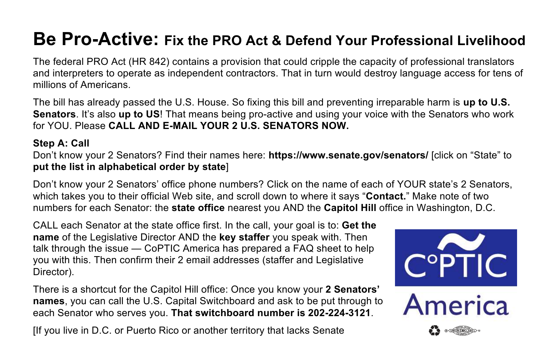# **Be Pro-Active: Fix the PRO Act & Defend Your Professional Livelihood**

The federal PRO Act (HR 842) contains a provision that could cripple the capacity of professional translators and interpreters to operate as independent contractors. That in turn would destroy language access for tens of millions of Americans.

The bill has already passed the U.S. House. So fixing this bill and preventing irreparable harm is **up to U.S. Senators**. It's also **up to US**! That means being pro-active and using your voice with the Senators who work for YOU. Please **CALL AND E-MAIL YOUR 2 U.S. SENATORS NOW.**

## **Step A: Call**

Don't know your 2 Senators? Find their names here: **https://www.senate.gov/senators/** [click on "State" to **put the list in alphabetical order by state**]

Don't know your 2 Senators' office phone numbers? Click on the name of each of YOUR state's 2 Senators, which takes you to their official Web site, and scroll down to where it says "**Contact.**" Make note of two numbers for each Senator: the **state office** nearest you AND the **Capitol Hill** office in Washington, D.C.

CALL each Senator at the state office first. In the call, your goal is to: **Get the name** of the Legislative Director AND the **key staffer** you speak with. Then talk through the issue — CoPTIC America has prepared a FAQ sheet to help you with this. Then confirm their 2 email addresses (staffer and Legislative Director).

There is a shortcut for the Capitol Hill office: Once you know your **2 Senators' names**, you can call the U.S. Capital Switchboard and ask to be put through to each Senator who serves you. **That switchboard number is 202-224-3121**.

[If you live in D.C. or Puerto Rico or another territory that lacks Senate